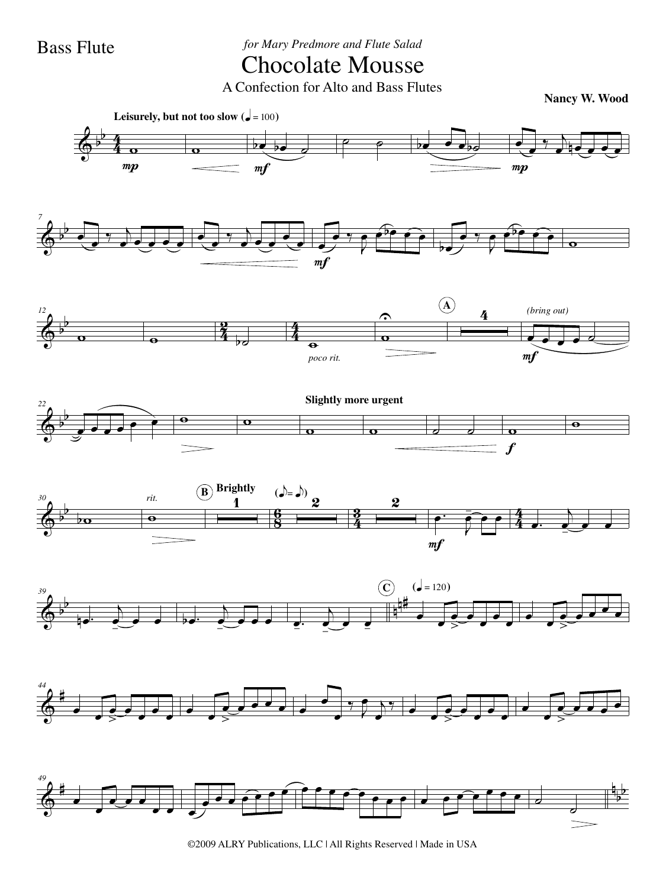Bass Flute *for Mary Predmore and Flute Salad*

## Chocolate Mousse

A Confection for Alto and Bass Flutes

**Nancy W. Wood**



©2009 ALRY Publications, LLC | All Rights Reserved | Made in USA